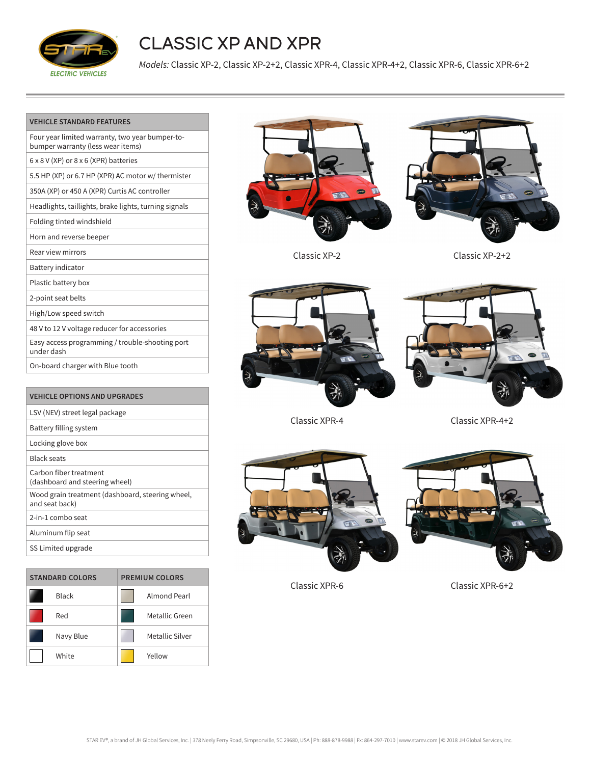

## CLASSIC XP AND XPR

*Models:* Classic XP-2, Classic XP-2+2, Classic XPR-4, Classic XPR-4+2, Classic XPR-6, Classic XPR-6+2

| Four year limited warranty, two year bumper-to-<br>bumper warranty (less wear items) |
|--------------------------------------------------------------------------------------|
| 6 x 8 V (XP) or 8 x 6 (XPR) batteries                                                |
| 5.5 HP (XP) or 6.7 HP (XPR) AC motor w/ thermister                                   |
| 350A (XP) or 450 A (XPR) Curtis AC controller                                        |
| Headlights, taillights, brake lights, turning signals                                |
| Folding tinted windshield                                                            |
| Horn and reverse beeper                                                              |
| Rear view mirrors                                                                    |
| Battery indicator                                                                    |
| Plastic battery box                                                                  |
| 2-point seat belts                                                                   |
| High/Low speed switch                                                                |
| 48 V to 12 V voltage reducer for accessories                                         |
| Easy access programming / trouble-shooting port<br>under dash                        |
| On-board charger with Blue tooth                                                     |
|                                                                                      |

| <b>VEHICLE OPTIONS AND UPGRADES</b>                                |
|--------------------------------------------------------------------|
| LSV (NEV) street legal package                                     |
| Battery filling system                                             |
| Locking glove box                                                  |
| <b>Black seats</b>                                                 |
| Carbon fiber treatment<br>(dashboard and steering wheel)           |
| Wood grain treatment (dashboard, steering wheel,<br>and seat back) |
| 2-in-1 combo seat                                                  |
| Aluminum flip seat                                                 |
| SS Limited upgrade                                                 |

| <b>STANDARD COLORS</b> |              | <b>PREMIUM COLORS</b> |                 |
|------------------------|--------------|-----------------------|-----------------|
|                        | <b>Black</b> |                       | Almond Pearl    |
|                        | Red          |                       | Metallic Green  |
|                        | Navy Blue    |                       | Metallic Silver |
|                        | White        |                       | Yellow          |





Classic XP-2 Classic XP-2+2





Classic XPR-4 Classic XPR-4+2





Classic XPR-6 Classic XPR-6+2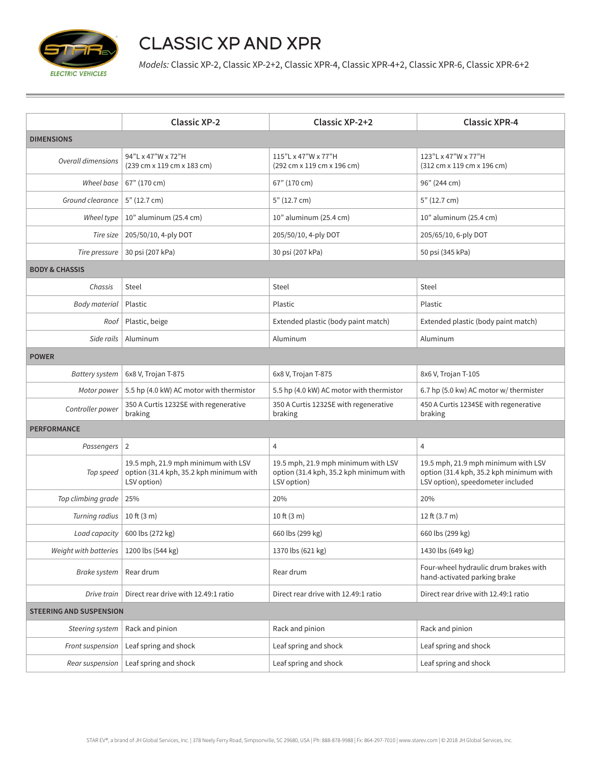

## CLASSIC XP AND XPR

*Models:* Classic XP-2, Classic XP-2+2, Classic XPR-4, Classic XPR-4+2, Classic XPR-6, Classic XPR-6+2

|                                | <b>Classic XP-2</b>                                                                           | Classic XP-2+2                                                                                | <b>Classic XPR-4</b>                                                                                                |  |  |  |
|--------------------------------|-----------------------------------------------------------------------------------------------|-----------------------------------------------------------------------------------------------|---------------------------------------------------------------------------------------------------------------------|--|--|--|
| <b>DIMENSIONS</b>              |                                                                                               |                                                                                               |                                                                                                                     |  |  |  |
| <b>Overall dimensions</b>      | 94"L x 47"W x 72"H<br>(239 cm x 119 cm x 183 cm)                                              | 115"L x 47"W x 77"H<br>(292 cm x 119 cm x 196 cm)                                             | 123"L x 47"W x 77"H<br>(312 cm x 119 cm x 196 cm)                                                                   |  |  |  |
| Wheel base                     | 67" (170 cm)                                                                                  | 67" (170 cm)                                                                                  | 96" (244 cm)                                                                                                        |  |  |  |
| Ground clearance               | 5" (12.7 cm)                                                                                  | 5" (12.7 cm)                                                                                  | 5" (12.7 cm)                                                                                                        |  |  |  |
| Wheel type                     | 10" aluminum (25.4 cm)                                                                        | 10" aluminum (25.4 cm)                                                                        | 10" aluminum (25.4 cm)                                                                                              |  |  |  |
| Tire size                      | 205/50/10, 4-ply DOT                                                                          | 205/50/10, 4-ply DOT                                                                          | 205/65/10, 6-ply DOT                                                                                                |  |  |  |
| Tire pressure                  | 30 psi (207 kPa)                                                                              | 30 psi (207 kPa)                                                                              | 50 psi (345 kPa)                                                                                                    |  |  |  |
| <b>BODY &amp; CHASSIS</b>      |                                                                                               |                                                                                               |                                                                                                                     |  |  |  |
| Chassis                        | Steel                                                                                         | Steel                                                                                         | Steel                                                                                                               |  |  |  |
| <b>Body material</b>           | Plastic                                                                                       | Plastic                                                                                       | Plastic                                                                                                             |  |  |  |
| Roof                           | Plastic, beige                                                                                | Extended plastic (body paint match)                                                           | Extended plastic (body paint match)                                                                                 |  |  |  |
| Side rails                     | Aluminum                                                                                      | Aluminum                                                                                      | Aluminum                                                                                                            |  |  |  |
| <b>POWER</b>                   |                                                                                               |                                                                                               |                                                                                                                     |  |  |  |
| <b>Battery system</b>          | 6x8 V, Trojan T-875                                                                           | 6x8 V, Trojan T-875                                                                           | 8x6 V, Trojan T-105                                                                                                 |  |  |  |
| Motor power                    | 5.5 hp (4.0 kW) AC motor with thermistor                                                      | 5.5 hp (4.0 kW) AC motor with thermistor                                                      | 6.7 hp (5.0 kw) AC motor w/ thermister                                                                              |  |  |  |
| Controller power               | 350 A Curtis 1232SE with regenerative<br>braking                                              | 350 A Curtis 1232SE with regenerative<br>braking                                              | 450 A Curtis 1234SE with regenerative<br>braking                                                                    |  |  |  |
| <b>PERFORMANCE</b>             |                                                                                               |                                                                                               |                                                                                                                     |  |  |  |
| Passengers   2                 |                                                                                               | 4                                                                                             | 4                                                                                                                   |  |  |  |
| Top speed                      | 19.5 mph, 21.9 mph minimum with LSV<br>option (31.4 kph, 35.2 kph minimum with<br>LSV option) | 19.5 mph, 21.9 mph minimum with LSV<br>option (31.4 kph, 35.2 kph minimum with<br>LSV option) | 19.5 mph, 21.9 mph minimum with LSV<br>option (31.4 kph, 35.2 kph minimum with<br>LSV option), speedometer included |  |  |  |
| Top climbing grade             | 25%                                                                                           | 20%                                                                                           | 20%                                                                                                                 |  |  |  |
| Turning radius                 | $10 \text{ ft} (3 \text{ m})$                                                                 | 10 ft $(3 m)$                                                                                 | 12 ft (3.7 m)                                                                                                       |  |  |  |
|                                | Load capacity   600 lbs (272 kg)                                                              | 660 lbs (299 kg)                                                                              | 660 lbs (299 kg)                                                                                                    |  |  |  |
| Weight with batteries          | 1200 lbs (544 kg)                                                                             | 1370 lbs (621 kg)                                                                             | 1430 lbs (649 kg)                                                                                                   |  |  |  |
| <b>Brake system</b>            | Rear drum                                                                                     | Rear drum                                                                                     | Four-wheel hydraulic drum brakes with<br>hand-activated parking brake                                               |  |  |  |
| Drive train                    | Direct rear drive with 12.49:1 ratio                                                          | Direct rear drive with 12.49:1 ratio                                                          | Direct rear drive with 12.49:1 ratio                                                                                |  |  |  |
| <b>STEERING AND SUSPENSION</b> |                                                                                               |                                                                                               |                                                                                                                     |  |  |  |
| Steering system                | Rack and pinion                                                                               | Rack and pinion                                                                               | Rack and pinion                                                                                                     |  |  |  |
| Front suspension               | Leaf spring and shock                                                                         | Leaf spring and shock                                                                         | Leaf spring and shock                                                                                               |  |  |  |
| Rear suspension                | Leaf spring and shock                                                                         | Leaf spring and shock                                                                         | Leaf spring and shock                                                                                               |  |  |  |
|                                |                                                                                               |                                                                                               |                                                                                                                     |  |  |  |